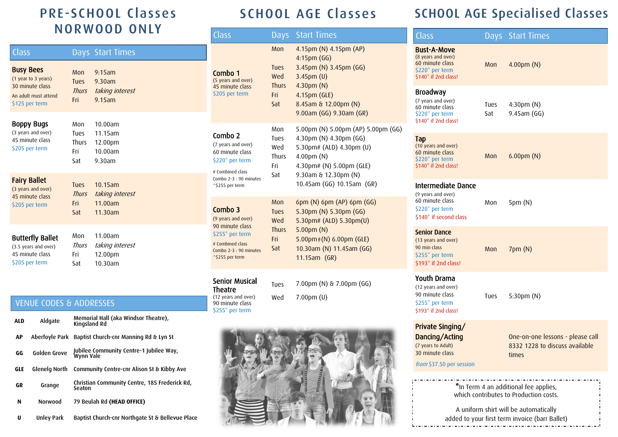## PRE -SCHOOL Classes NORWOOD ONLY

| Class                                                                                                |                                           | Days Start Times                                      |
|------------------------------------------------------------------------------------------------------|-------------------------------------------|-------------------------------------------------------|
| <b>Busy Bees</b><br>(1 year to 3 years)<br>30 minute class<br>An adult must attend<br>\$125 per term | Mon<br><b>Tues</b><br>Thurs<br>Fri        | $9:15$ am<br>9.30am<br>taking interest<br>$9.15$ am   |
| <b>Boppy Bugs</b><br>(3 years and over)<br>45 minute class<br>\$205 per term                         | Mon<br>Tues<br><b>Thurs</b><br>Fri<br>Sat | 10.00am<br>$11.15$ am<br>12.00pm<br>10.00am<br>9.30am |
| <b>Fairy Ballet</b><br>(3 years and over)<br>45 minute class<br>\$205 per term                       | <b>Tues</b><br>Thurs<br>Fri<br>Sat        | $10.15$ am<br>taking interest<br>11.00am<br>11.30am   |
| <b>Butterfly Ballet</b><br>(3.5 years and over)<br>45 minute class<br>\$205 per term                 | Mon<br><b>Thurs</b><br>Fri<br>Sat         | 11.00am<br>taking interest<br>12.00pm<br>10.30am      |

## VENUE CODES & ADDRESSES

| <b>ALD</b> | Aldgate        | Memorial Hall (aka Windsor Theatre),<br>Kingsland Rd    |  |
|------------|----------------|---------------------------------------------------------|--|
| ΛP         | Aberfovle Park | Baptist Church-cnr Manning Rd & Lyn St                  |  |
| GG         | Golden Grove   | Jubilee Community Centre-1 Jubilee Way,<br>Wynn Vale    |  |
| <b>GLE</b> | Glenelg North  | Community Centre-cnr Alison St & Kibby Ave              |  |
| GR         | Grange         | Christian Community Centre, 185 Frederick Rd,<br>Seaton |  |
| N          | <b>Norwood</b> | 79 Beulah Rd (HEAD OFFICE)                              |  |
| U          | Unley Park     | Baptist Church-cnr Northgate St & Bellevue Place        |  |

## SCHOOL AGE Classes

| Class                                                                                                                                | Days                                                    | <b>Start Times</b>                                                                                                                                                                                |
|--------------------------------------------------------------------------------------------------------------------------------------|---------------------------------------------------------|---------------------------------------------------------------------------------------------------------------------------------------------------------------------------------------------------|
| Combo 1<br>(5 years and over)<br>45 minute class<br>\$205 per term                                                                   | Mon<br><b>Tues</b><br>Wed<br><b>Thurs</b><br>Fri<br>Sat | 4.15pm (N) 4.15pm (AP)<br>$4:15$ pm $(GG)$<br>3.45pm (N) 3.45pm (GG)<br>$3.45$ pm $(U)$<br>$4.30pm$ (N)<br>4.15pm (GLE)<br>8.45am & 12.00pm (N)<br>9.00am (GG) 9.30am (GR)                        |
| Combo 2<br>(7 years and over)<br>60 minute class<br>\$220* per term<br># Combined class<br>Combo 2-3 : 90 minutes<br>^\$255 per term | Mon<br>Tues<br>Wed<br><b>Thurs</b><br>Fri<br>Sat        | 5.00pm (N) 5.00pm (AP) 5.00pm (GG)<br>4.30pm (N) 4.30pm (GG)<br>5.30pm# (ALD) 4.30pm (U)<br>$4.00 \text{pm}$ (N)<br>4.30pm# (N) 5.00pm (GLE)<br>9.30am & 12.30pm (N)<br>10.45am (GG) 10.15am (GR) |
| Combo 3<br>(9 years and over)<br>90 minute class<br>\$255* per term<br># Combined class<br>Combo 2-3 : 90 minutes<br>^\$255 per term | Mon<br><b>Tues</b><br>Wed<br><b>Thurs</b><br>Fri<br>Sat | 6pm (N) 6pm (AP) 6pm (GG)<br>5.30pm (N) 5.30pm (GG)<br>5.30pm# (ALD) 5.30pm(U)<br>$5.00pm$ (N)<br>$5.00$ pm $*(N)$ 6.00pm (GLE)<br>10.30am (N) 11.45am (GG)<br>$11.15am$ (GR)                     |
| Senior Musical<br><b>Theatre</b><br>(12 years and over)<br>90 minute class<br>\$255* per term                                        | Tues<br>Wed                                             | 7.00pm (N) & 7.00pm (GG)<br>$7.00pm$ (U)                                                                                                                                                          |



# SCHOOL AGE Specialised Classes

| Class                                                                                                                          |             | Days Start Times                                                            |
|--------------------------------------------------------------------------------------------------------------------------------|-------------|-----------------------------------------------------------------------------|
| <b>Bust-A-Move</b><br>(8 years and over)<br>60 minute class<br>\$220 <sup>*</sup> per term<br>\$140 <sup>*</sup> if 2nd class! | Mon         | $4.00pm$ (N)                                                                |
| <b>Broadway</b><br>(7 years and over)<br>60 minute class<br>\$220* per term<br>\$140* if 2nd class!                            | Tues<br>Sat | 4:30 <sub>pm</sub> (N)<br>$9.45$ am $(GG)$                                  |
| Tap<br>(10 years and over)<br>60 minute class<br>\$220* per term<br>\$140* if 2nd class!                                       | <b>Mon</b>  | $6.00pm$ (N)                                                                |
| <b>Intermediate Dance</b><br>(9 years and over)<br>60 minute class<br>\$220* per term<br>\$140* if second class                | Mon         | 5pm (N)                                                                     |
| <b>Senior Dance</b><br>(13 years and over)<br>90 min class<br>\$255* per term<br>\$193 <sup>*</sup> if 2nd class!              | Mon         | 7pm (N)                                                                     |
| Youth Drama<br>(12 years and over)<br>90 minute class<br>\$255* per term<br>\$193* if 2nd class!                               | Tues        | $5:30$ pm $(N)$                                                             |
| Private Singing/<br>Dancing/Acting<br>(7 years to Adult)<br>30 minute class<br>from \$37.50 per session                        |             | One-on-one lessons - please call<br>8332 1228 to discuss available<br>times |

\*In Term 4 an additional fee applies, which contributes to Production costs.

A uniform shirt will be automatically added to your first term invoice (barr Ballet)